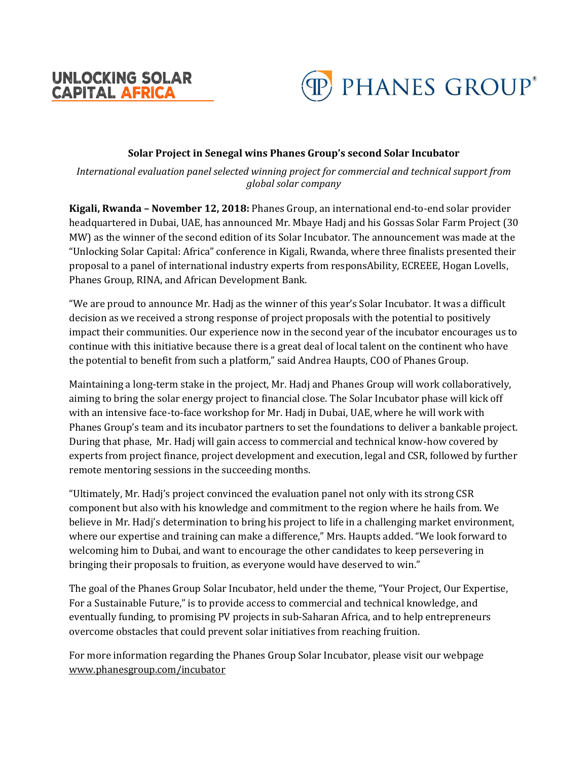



## **Solar Project in Senegal wins Phanes Group's second Solar Incubator**

*International evaluation panel selected winning project for commercial and technical support from global solar company*

**Kigali, Rwanda – November 12, 2018:** Phanes Group, an international end-to-end solar provider headquartered in Dubai, UAE, has announced Mr. Mbaye Hadj and his Gossas Solar Farm Project (30 MW) as the winner of the second edition of its Solar Incubator. The announcement was made at the "Unlocking Solar Capital: Africa" conference in Kigali, Rwanda, where three finalists presented their proposal to a panel of international industry experts from responsAbility, ECREEE, Hogan Lovells, Phanes Group, RINA, and African Development Bank.

"We are proud to announce Mr. Hadj as the winner of this year's Solar Incubator. It was a difficult decision as we received a strong response of project proposals with the potential to positively impact their communities. Our experience now in the second year of the incubator encourages us to continue with this initiative because there is a great deal of local talent on the continent who have the potential to benefit from such a platform," said Andrea Haupts, COO of Phanes Group.

Maintaining a long-term stake in the project, Mr. Hadj and Phanes Group will work collaboratively, aiming to bring the solar energy project to financial close. The Solar Incubator phase will kick off with an intensive face-to-face workshop for Mr. Hadj in Dubai, UAE, where he will work with Phanes Group's team and its incubator partners to set the foundations to deliver a bankable project. During that phase, Mr. Hadj will gain access to commercial and technical know-how covered by experts from project finance, project development and execution, legal and CSR, followed by further remote mentoring sessions in the succeeding months.

"Ultimately, Mr. Hadj's project convinced the evaluation panel not only with its strong CSR component but also with his knowledge and commitment to the region where he hails from. We believe in Mr. Hadj's determination to bring his project to life in a challenging market environment, where our expertise and training can make a difference," Mrs. Haupts added. "We look forward to welcoming him to Dubai, and want to encourage the other candidates to keep persevering in bringing their proposals to fruition, as everyone would have deserved to win."

The goal of the Phanes Group Solar Incubator, held under the theme, "Your Project, Our Expertise, For a Sustainable Future," is to provide access to commercial and technical knowledge, and eventually funding, to promising PV projects in sub-Saharan Africa, and to help entrepreneurs overcome obstacles that could prevent solar initiatives from reaching fruition.

For more information regarding the Phanes Group Solar Incubator, please visit our webpage [www.phanesgroup.com/incubator](http://www.phanesgroup.com/incubator)